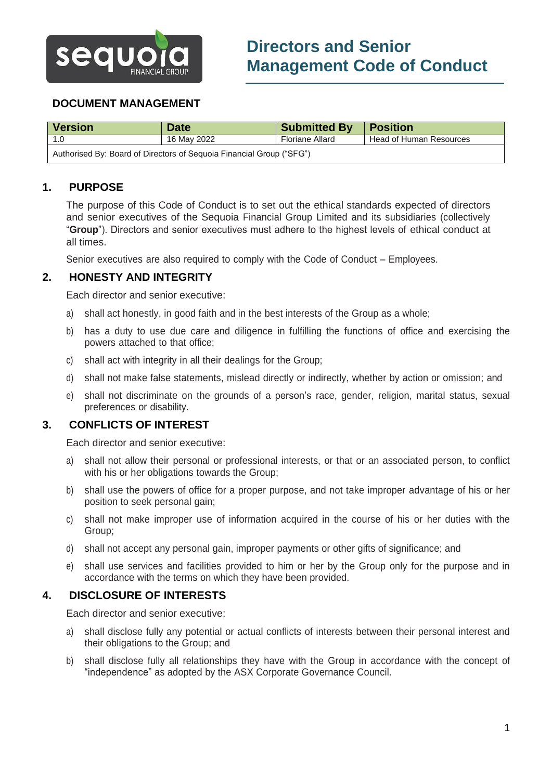

# **DOCUMENT MANAGEMENT**

| <b>Version</b>                                                       | <b>Date</b> | <b>Submitted By</b> | <b>Position</b>         |
|----------------------------------------------------------------------|-------------|---------------------|-------------------------|
|                                                                      | 16 Mav 2022 | Floriane Allard     | Head of Human Resources |
| Authorised By: Board of Directors of Sequoia Financial Group ("SFG") |             |                     |                         |

# **1. PURPOSE**

The purpose of this Code of Conduct is to set out the ethical standards expected of directors and senior executives of the Sequoia Financial Group Limited and its subsidiaries (collectively "**Group**"). Directors and senior executives must adhere to the highest levels of ethical conduct at all times.

Senior executives are also required to comply with the Code of Conduct – Employees.

### **2. HONESTY AND INTEGRITY**

Each director and senior executive:

- a) shall act honestly, in good faith and in the best interests of the Group as a whole;
- b) has a duty to use due care and diligence in fulfilling the functions of office and exercising the powers attached to that office;
- c) shall act with integrity in all their dealings for the Group;
- d) shall not make false statements, mislead directly or indirectly, whether by action or omission; and
- e) shall not discriminate on the grounds of a person's race, gender, religion, marital status, sexual preferences or disability.

### **3. CONFLICTS OF INTEREST**

Each director and senior executive:

- a) shall not allow their personal or professional interests, or that or an associated person, to conflict with his or her obligations towards the Group;
- b) shall use the powers of office for a proper purpose, and not take improper advantage of his or her position to seek personal gain;
- c) shall not make improper use of information acquired in the course of his or her duties with the Group;
- d) shall not accept any personal gain, improper payments or other gifts of significance; and
- e) shall use services and facilities provided to him or her by the Group only for the purpose and in accordance with the terms on which they have been provided.

#### **4. DISCLOSURE OF INTERESTS**

Each director and senior executive:

- a) shall disclose fully any potential or actual conflicts of interests between their personal interest and their obligations to the Group; and
- b) shall disclose fully all relationships they have with the Group in accordance with the concept of "independence" as adopted by the ASX Corporate Governance Council.